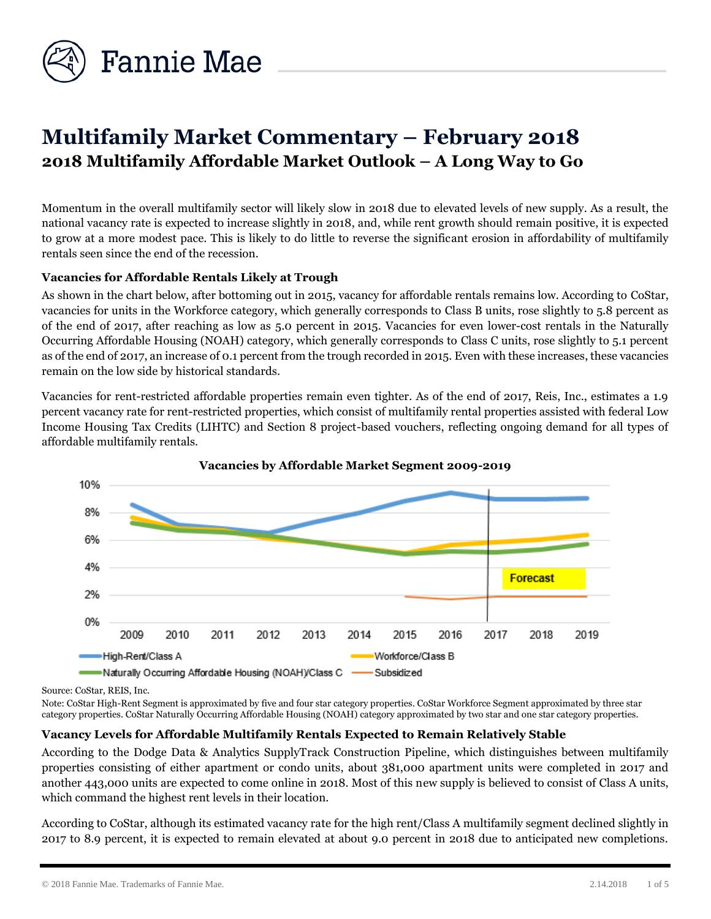

# **Multifamily Market Commentary – February 2018 2018 Multifamily Affordable Market Outlook – A Long Way to Go**

Momentum in the overall multifamily sector will likely slow in 2018 due to elevated levels of new supply. As a result, the national vacancy rate is expected to increase slightly in 2018, and, while rent growth should remain positive, it is expected to grow at a more modest pace. This is likely to do little to reverse the significant erosion in affordability of multifamily rentals seen since the end of the recession.

## **Vacancies for Affordable Rentals Likely at Trough**

As shown in the chart below, after bottoming out in 2015, vacancy for affordable rentals remains low. According to CoStar, vacancies for units in the Workforce category, which generally corresponds to Class B units, rose slightly to 5.8 percent as of the end of 2017, after reaching as low as 5.0 percent in 2015. Vacancies for even lower-cost rentals in the Naturally Occurring Affordable Housing (NOAH) category, which generally corresponds to Class C units, rose slightly to 5.1 percent as of the end of 2017, an increase of 0.1 percent from the trough recorded in 2015. Even with these increases, these vacancies remain on the low side by historical standards.

Vacancies for rent-restricted affordable properties remain even tighter. As of the end of 2017, Reis, Inc., estimates a 1.9 percent vacancy rate for rent-restricted properties, which consist of multifamily rental properties assisted with federal Low Income Housing Tax Credits (LIHTC) and Section 8 project-based vouchers, reflecting ongoing demand for all types of affordable multifamily rentals.





Source: CoStar, REIS, Inc.

Note: CoStar High-Rent Segment is approximated by five and four star category properties. CoStar Workforce Segment approximated by three star category properties. CoStar Naturally Occurring Affordable Housing (NOAH) category approximated by two star and one star category properties.

## **Vacancy Levels for Affordable Multifamily Rentals Expected to Remain Relatively Stable**

According to the Dodge Data & Analytics SupplyTrack Construction Pipeline, which distinguishes between multifamily properties consisting of either apartment or condo units, about 381,000 apartment units were completed in 2017 and another 443,000 units are expected to come online in 2018. Most of this new supply is believed to consist of Class A units, which command the highest rent levels in their location.

According to CoStar, although its estimated vacancy rate for the high rent/Class A multifamily segment declined slightly in 2017 to 8.9 percent, it is expected to remain elevated at about 9.0 percent in 2018 due to anticipated new completions.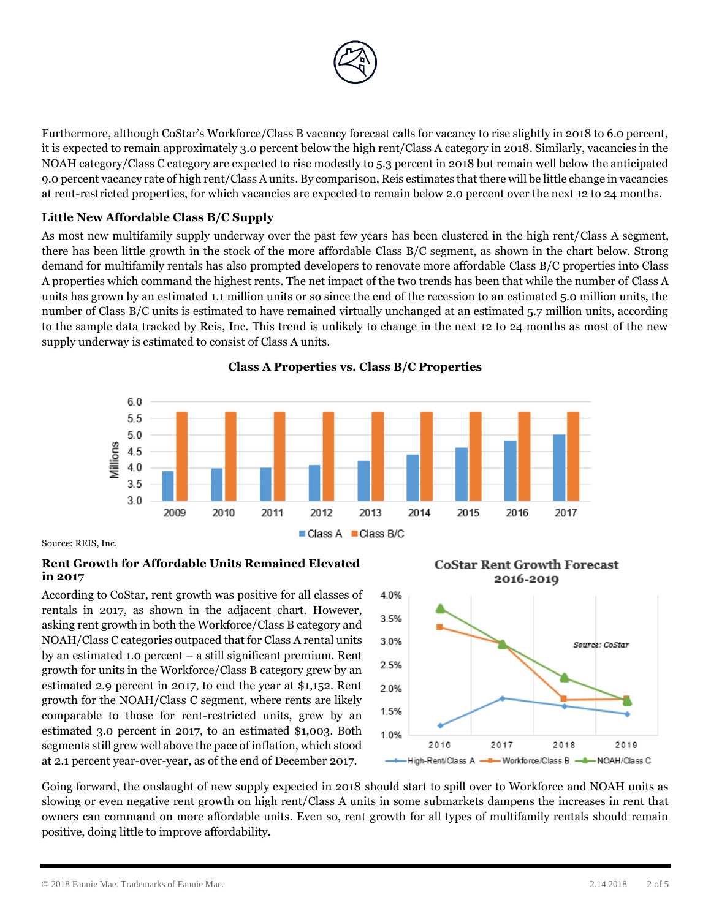

Furthermore, although CoStar's Workforce/Class B vacancy forecast calls for vacancy to rise slightly in 2018 to 6.0 percent, it is expected to remain approximately 3.0 percent below the high rent/Class A category in 2018. Similarly, vacancies in the NOAH category/Class C category are expected to rise modestly to 5.3 percent in 2018 but remain well below the anticipated 9.0 percent vacancy rate of high rent/Class A units. By comparison, Reis estimates that there will be little change in vacancies at rent-restricted properties, for which vacancies are expected to remain below 2.0 percent over the next 12 to 24 months.

# **Little New Affordable Class B/C Supply**

As most new multifamily supply underway over the past few years has been clustered in the high rent/Class A segment, there has been little growth in the stock of the more affordable Class B/C segment, as shown in the chart below. Strong demand for multifamily rentals has also prompted developers to renovate more affordable Class B/C properties into Class A properties which command the highest rents. The net impact of the two trends has been that while the number of Class A units has grown by an estimated 1.1 million units or so since the end of the recession to an estimated 5.0 million units, the number of Class B/C units is estimated to have remained virtually unchanged at an estimated 5.7 million units, according to the sample data tracked by Reis, Inc. This trend is unlikely to change in the next 12 to 24 months as most of the new supply underway is estimated to consist of Class A units.



**Class A Properties vs. Class B/C Properties**

Source: REIS, Inc.

#### **Rent Growth for Affordable Units Remained Elevated in 2017**

According to CoStar, rent growth was positive for all classes of rentals in 2017, as shown in the adjacent chart. However, asking rent growth in both the Workforce/Class B category and NOAH/Class C categories outpaced that for Class A rental units by an estimated 1.0 percent – a still significant premium. Rent growth for units in the Workforce/Class B category grew by an estimated 2.9 percent in 2017, to end the year at \$1,152. Rent growth for the NOAH/Class C segment, where rents are likely comparable to those for rent-restricted units, grew by an estimated 3.0 percent in 2017, to an estimated \$1,003. Both segments still grew well above the pace of inflation, which stood at 2.1 percent year-over-year, as of the end of December 2017.



Going forward, the onslaught of new supply expected in 2018 should start to spill over to Workforce and NOAH units as slowing or even negative rent growth on high rent/Class A units in some submarkets dampens the increases in rent that owners can command on more affordable units. Even so, rent growth for all types of multifamily rentals should remain positive, doing little to improve affordability.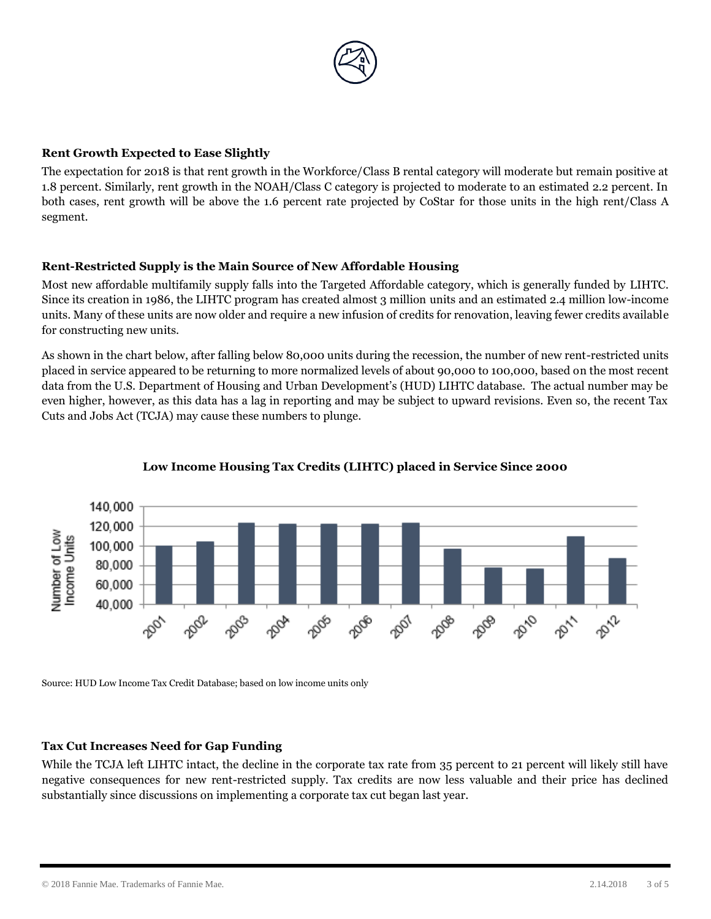

## **Rent Growth Expected to Ease Slightly**

The expectation for 2018 is that rent growth in the Workforce/Class B rental category will moderate but remain positive at 1.8 percent. Similarly, rent growth in the NOAH/Class C category is projected to moderate to an estimated 2.2 percent. In both cases, rent growth will be above the 1.6 percent rate projected by CoStar for those units in the high rent/Class A segment.

# **Rent-Restricted Supply is the Main Source of New Affordable Housing**

Most new affordable multifamily supply falls into the Targeted Affordable category, which is generally funded by LIHTC. Since its creation in 1986, the LIHTC program has created almost 3 million units and an estimated 2.4 million low-income units. Many of these units are now older and require a new infusion of credits for renovation, leaving fewer credits available for constructing new units.

As shown in the chart below, after falling below 80,000 units during the recession, the number of new rent-restricted units placed in service appeared to be returning to more normalized levels of about 90,000 to 100,000, based on the most recent data from the U.S. Department of Housing and Urban Development's (HUD) LIHTC database. The actual number may be even higher, however, as this data has a lag in reporting and may be subject to upward revisions. Even so, the recent Tax Cuts and Jobs Act (TCJA) may cause these numbers to plunge.



## **Low Income Housing Tax Credits (LIHTC) placed in Service Since 2000**

Source: HUD Low Income Tax Credit Database; based on low income units only

## **Tax Cut Increases Need for Gap Funding**

While the TCJA left LIHTC intact, the decline in the corporate tax rate from 35 percent to 21 percent will likely still have negative consequences for new rent-restricted supply. Tax credits are now less valuable and their price has declined substantially since discussions on implementing a corporate tax cut began last year.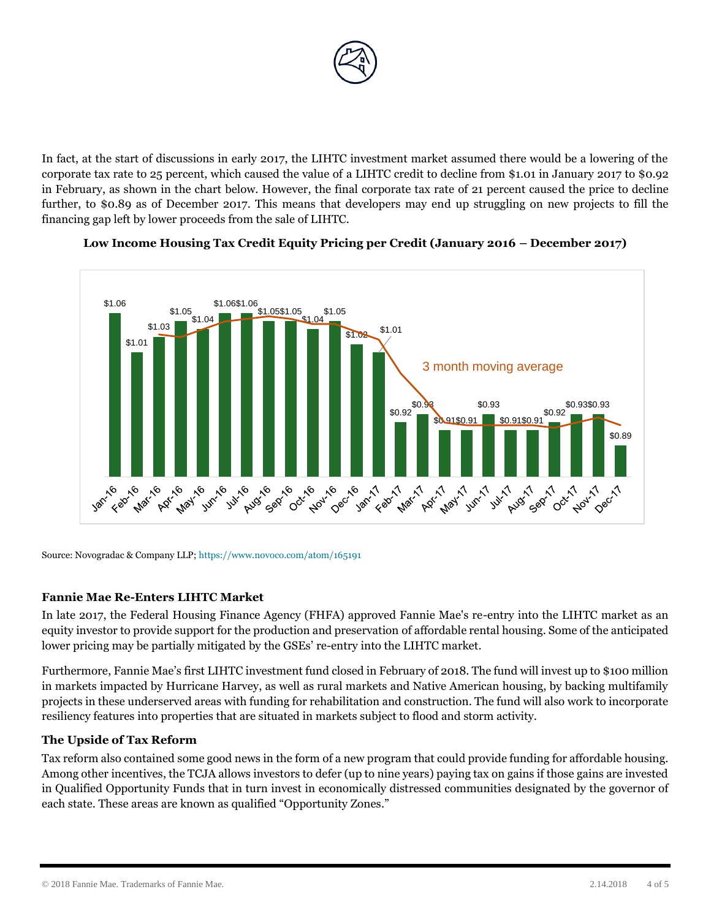

In fact, at the start of discussions in early 2017, the LIHTC investment market assumed there would be a lowering of the corporate tax rate to 25 percent, which caused the value of a LIHTC credit to decline from \$1.01 in January 2017 to \$0.92 in February, as shown in the chart below. However, the final corporate tax rate of 21 percent caused the price to decline further, to \$0.89 as of December 2017. This means that developers may end up struggling on new projects to fill the financing gap left by lower proceeds from the sale of LIHTC.



## **Low Income Housing Tax Credit Equity Pricing per Credit (January 2016 – December 2017)**

Source: Novogradac & Company LLP; https://www.novoco.com/atom/165191

#### **Fannie Mae Re-Enters LIHTC Market**

In late 2017, the Federal Housing Finance Agency (FHFA) approved Fannie Mae's re-entry into the LIHTC market as an equity investor to provide support for the production and preservation of affordable rental housing. Some of the anticipated lower pricing may be partially mitigated by the GSEs' re-entry into the LIHTC market.

Furthermore, Fannie Mae's first LIHTC investment fund closed in February of 2018. The fund will invest up to \$100 million in markets impacted by Hurricane Harvey, as well as rural markets and Native American housing, by backing multifamily projects in these underserved areas with funding for rehabilitation and construction. The fund will also work to incorporate resiliency features into properties that are situated in markets subject to flood and storm activity.

## **The Upside of Tax Reform**

Tax reform also contained some good news in the form of a new program that could provide funding for affordable housing. Among other incentives, the TCJA allows investors to defer (up to nine years) paying tax on gains if those gains are invested in Qualified Opportunity Funds that in turn invest in economically distressed communities designated by the governor of each state. These areas are known as qualified "Opportunity Zones."